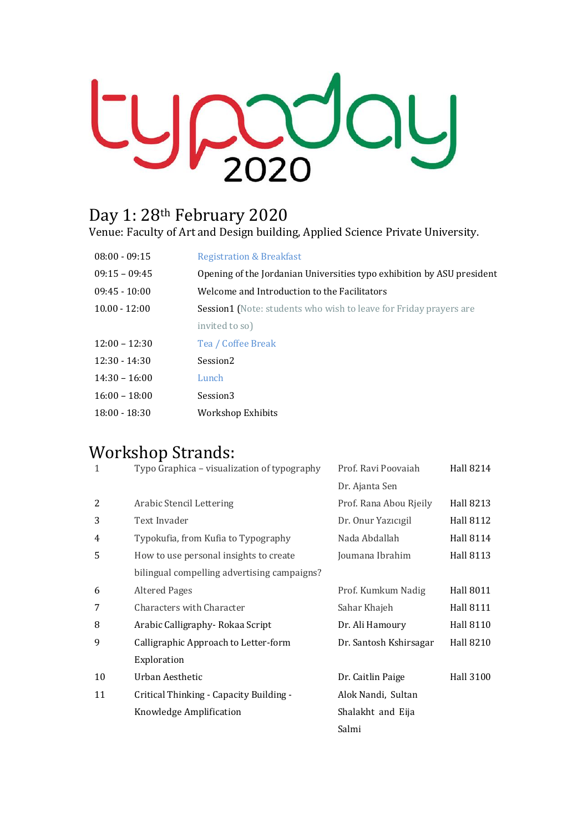# typeday

# Day 1: 28th February 2020

Venue: Faculty of Art and Design building, Applied Science Private University.

| $08:00 - 09:15$ | <b>Registration &amp; Breakfast</b>                                      |
|-----------------|--------------------------------------------------------------------------|
| $09:15 - 09:45$ | Opening of the Jordanian Universities typo exhibition by ASU president   |
| $09:45 - 10:00$ | Welcome and Introduction to the Facilitators                             |
| $10.00 - 12:00$ | <b>Session1</b> (Note: students who wish to leave for Friday prayers are |
|                 | invited to so                                                            |
| $12:00 - 12:30$ | Tea / Coffee Break                                                       |
| $12:30 - 14:30$ | Session <sub>2</sub>                                                     |
| $14:30 - 16:00$ | Lunch                                                                    |
| $16:00 - 18:00$ | Session <sub>3</sub>                                                     |
| $18:00 - 18:30$ | Workshop Exhibits                                                        |

## Workshop Strands:

| $\mathbf{1}$   | Typo Graphica - visualization of typography | Prof. Ravi Poovaiah    | Hall 8214        |
|----------------|---------------------------------------------|------------------------|------------------|
|                |                                             | Dr. Ajanta Sen         |                  |
| $\overline{2}$ | <b>Arabic Stencil Lettering</b>             | Prof. Rana Abou Rjeily | Hall 8213        |
| 3              | Text Invader                                | Dr. Onur Yazıcıgil     | Hall 8112        |
| 4              | Typokufia, from Kufia to Typography         | Nada Abdallah          | Hall 8114        |
| 5              | How to use personal insights to create      | Joumana Ibrahim        | Hall 8113        |
|                | bilingual compelling advertising campaigns? |                        |                  |
| 6              | Altered Pages                               | Prof. Kumkum Nadig     | Hall 8011        |
| 7              | Characters with Character                   | Sahar Khajeh           | Hall 8111        |
| 8              | Arabic Calligraphy - Rokaa Script           | Dr. Ali Hamoury        | Hall 8110        |
| 9              | Calligraphic Approach to Letter-form        | Dr. Santosh Kshirsagar | Hall 8210        |
|                | Exploration                                 |                        |                  |
| 10             | Urban Aesthetic                             | Dr. Caitlin Paige      | <b>Hall 3100</b> |
| 11             | Critical Thinking - Capacity Building -     | Alok Nandi, Sultan     |                  |
|                | Knowledge Amplification                     | Shalakht and Eija      |                  |
|                |                                             | Salmi                  |                  |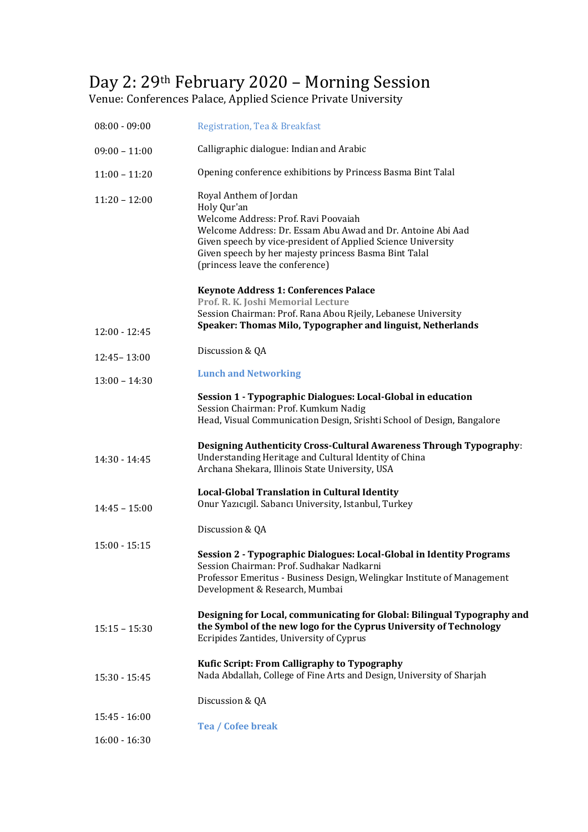## Day 2: 29th February 2020 – Morning Session

Venue: Conferences Palace, Applied Science Private University

| $08:00 - 09:00$ | Registration, Tea & Breakfast                                                                                                                                                                                                                                                                            |
|-----------------|----------------------------------------------------------------------------------------------------------------------------------------------------------------------------------------------------------------------------------------------------------------------------------------------------------|
| $09:00 - 11:00$ | Calligraphic dialogue: Indian and Arabic                                                                                                                                                                                                                                                                 |
| $11:00 - 11:20$ | Opening conference exhibitions by Princess Basma Bint Talal                                                                                                                                                                                                                                              |
| $11:20 - 12:00$ | Royal Anthem of Jordan<br>Holy Qur'an<br>Welcome Address: Prof. Ravi Poovaiah<br>Welcome Address: Dr. Essam Abu Awad and Dr. Antoine Abi Aad<br>Given speech by vice-president of Applied Science University<br>Given speech by her majesty princess Basma Bint Talal<br>(princess leave the conference) |
|                 | <b>Keynote Address 1: Conferences Palace</b><br>Prof. R. K. Joshi Memorial Lecture<br>Session Chairman: Prof. Rana Abou Rjeily, Lebanese University                                                                                                                                                      |
| $12:00 - 12:45$ | Speaker: Thomas Milo, Typographer and linguist, Netherlands                                                                                                                                                                                                                                              |
| $12:45 - 13:00$ | Discussion & QA                                                                                                                                                                                                                                                                                          |
| $13:00 - 14:30$ | <b>Lunch and Networking</b>                                                                                                                                                                                                                                                                              |
|                 | Session 1 - Typographic Dialogues: Local-Global in education<br>Session Chairman: Prof. Kumkum Nadig<br>Head, Visual Communication Design, Srishti School of Design, Bangalore                                                                                                                           |
| $14:30 - 14:45$ | Designing Authenticity Cross-Cultural Awareness Through Typography:<br>Understanding Heritage and Cultural Identity of China<br>Archana Shekara, Illinois State University, USA                                                                                                                          |
| $14:45 - 15:00$ | <b>Local-Global Translation in Cultural Identity</b><br>Onur Yazıcıgil. Sabancı University, Istanbul, Turkey                                                                                                                                                                                             |
|                 | Discussion & QA                                                                                                                                                                                                                                                                                          |
| $15:00 - 15:15$ | Session 2 - Typographic Dialogues: Local-Global in Identity Programs<br>Session Chairman: Prof. Sudhakar Nadkarni<br>Professor Emeritus - Business Design, Welingkar Institute of Management<br>Development & Research, Mumbai                                                                           |
| $15:15 - 15:30$ | Designing for Local, communicating for Global: Bilingual Typography and<br>the Symbol of the new logo for the Cyprus University of Technology<br>Ecripides Zantides, University of Cyprus                                                                                                                |
| $15:30 - 15:45$ | Kufic Script: From Calligraphy to Typography<br>Nada Abdallah, College of Fine Arts and Design, University of Sharjah                                                                                                                                                                                    |
|                 | Discussion & QA                                                                                                                                                                                                                                                                                          |
| $15:45 - 16:00$ | Tea / Cofee break                                                                                                                                                                                                                                                                                        |
| $16:00 - 16:30$ |                                                                                                                                                                                                                                                                                                          |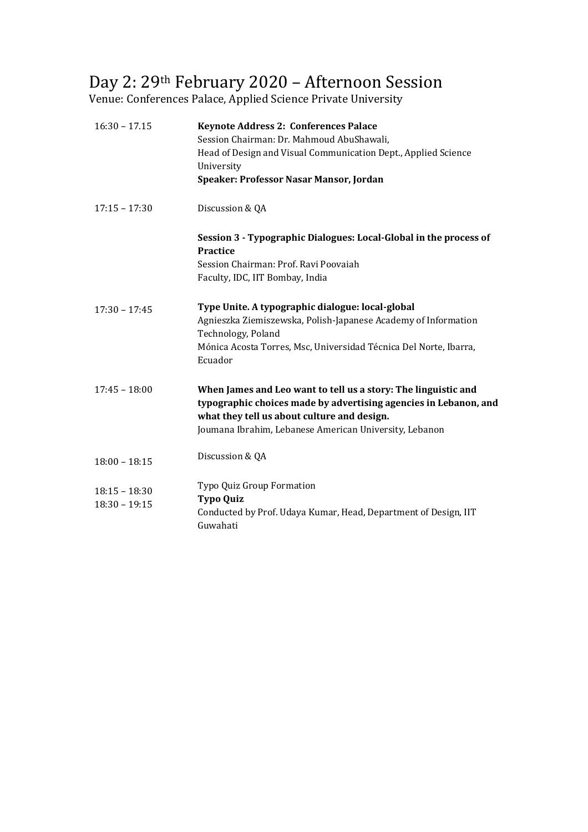#### Day 2: 29th February 2020 – Afternoon Session

Venue: Conferences Palace, Applied Science Private University

| $16:30 - 17.15$                    | <b>Keynote Address 2: Conferences Palace</b><br>Session Chairman: Dr. Mahmoud AbuShawali,<br>Head of Design and Visual Communication Dept., Applied Science<br>University<br>Speaker: Professor Nasar Mansor, Jordan                        |
|------------------------------------|---------------------------------------------------------------------------------------------------------------------------------------------------------------------------------------------------------------------------------------------|
| $17:15 - 17:30$                    | Discussion & QA                                                                                                                                                                                                                             |
|                                    | Session 3 - Typographic Dialogues: Local-Global in the process of<br><b>Practice</b><br>Session Chairman: Prof. Ravi Poovaiah<br>Faculty, IDC, IIT Bombay, India                                                                            |
| $17:30 - 17:45$                    | Type Unite. A typographic dialogue: local-global<br>Agnieszka Ziemiszewska, Polish-Japanese Academy of Information<br>Technology, Poland<br>Mónica Acosta Torres, Msc, Universidad Técnica Del Norte, Ibarra,<br>Ecuador                    |
| $17:45 - 18:00$                    | When James and Leo want to tell us a story: The linguistic and<br>typographic choices made by advertising agencies in Lebanon, and<br>what they tell us about culture and design.<br>Joumana Ibrahim, Lebanese American University, Lebanon |
| $18:00 - 18:15$                    | Discussion & QA                                                                                                                                                                                                                             |
| $18:15 - 18:30$<br>$18:30 - 19:15$ | Typo Quiz Group Formation<br><b>Typo Quiz</b><br>Conducted by Prof. Udaya Kumar, Head, Department of Design, IIT<br>Guwahati                                                                                                                |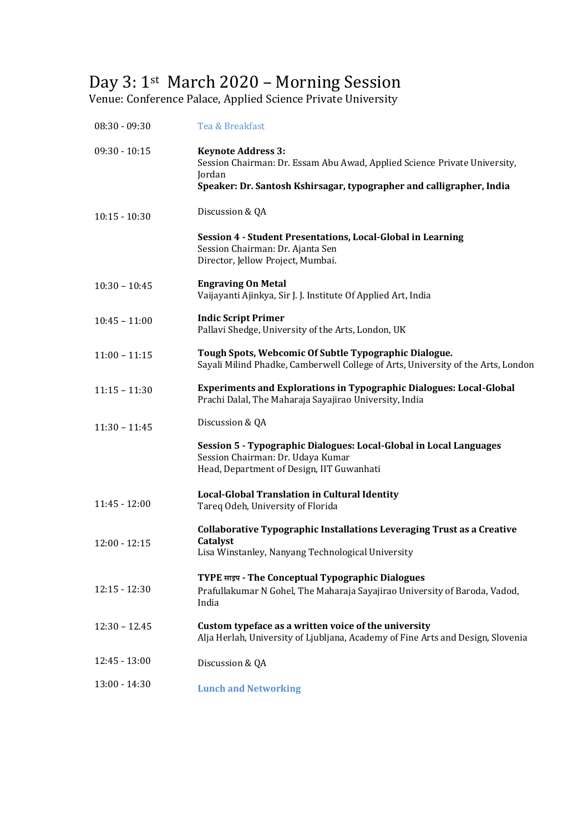# Day 3: 1<sup>st</sup> March 2020 - Morning Session

Venue: Conference Palace, Applied Science Private University

| $08:30 - 09:30$ | Tea & Breakfast                                                                                                                                                                          |
|-----------------|------------------------------------------------------------------------------------------------------------------------------------------------------------------------------------------|
| $09:30 - 10:15$ | <b>Keynote Address 3:</b><br>Session Chairman: Dr. Essam Abu Awad, Applied Science Private University,<br>Jordan<br>Speaker: Dr. Santosh Kshirsagar, typographer and calligrapher, India |
| $10:15 - 10:30$ | Discussion & QA                                                                                                                                                                          |
|                 | Session 4 - Student Presentations, Local-Global in Learning<br>Session Chairman: Dr. Ajanta Sen<br>Director, Jellow Project, Mumbai.                                                     |
| $10:30 - 10:45$ | <b>Engraving On Metal</b><br>Vaijayanti Ajinkya, Sir J. J. Institute Of Applied Art, India                                                                                               |
| $10:45 - 11:00$ | <b>Indic Script Primer</b><br>Pallavi Shedge, University of the Arts, London, UK                                                                                                         |
| $11:00 - 11:15$ | Tough Spots, Webcomic Of Subtle Typographic Dialogue.<br>Sayali Milind Phadke, Camberwell College of Arts, University of the Arts, London                                                |
| $11:15 - 11:30$ | <b>Experiments and Explorations in Typographic Dialogues: Local-Global</b><br>Prachi Dalal, The Maharaja Sayajirao University, India                                                     |
| $11:30 - 11:45$ | Discussion & QA                                                                                                                                                                          |
|                 | Session 5 - Typographic Dialogues: Local-Global in Local Languages<br>Session Chairman: Dr. Udaya Kumar<br>Head, Department of Design, IIT Guwanhati                                     |
| $11:45 - 12:00$ | Local-Global Translation in Cultural Identity<br>Tareq Odeh, University of Florida                                                                                                       |
| $12:00 - 12:15$ | <b>Collaborative Typographic Installations Leveraging Trust as a Creative</b><br>Catalyst<br>Lisa Winstanley, Nanyang Technological University                                           |
| $12:15 - 12:30$ | TYPE साइप - The Conceptual Typographic Dialogues<br>Prafullakumar N Gohel, The Maharaja Sayajirao University of Baroda, Vadod,<br>India                                                  |
| $12:30 - 12.45$ | Custom typeface as a written voice of the university<br>Alja Herlah, University of Ljubljana, Academy of Fine Arts and Design, Slovenia                                                  |
| $12:45 - 13:00$ | Discussion & QA                                                                                                                                                                          |
| $13:00 - 14:30$ | <b>Lunch and Networking</b>                                                                                                                                                              |